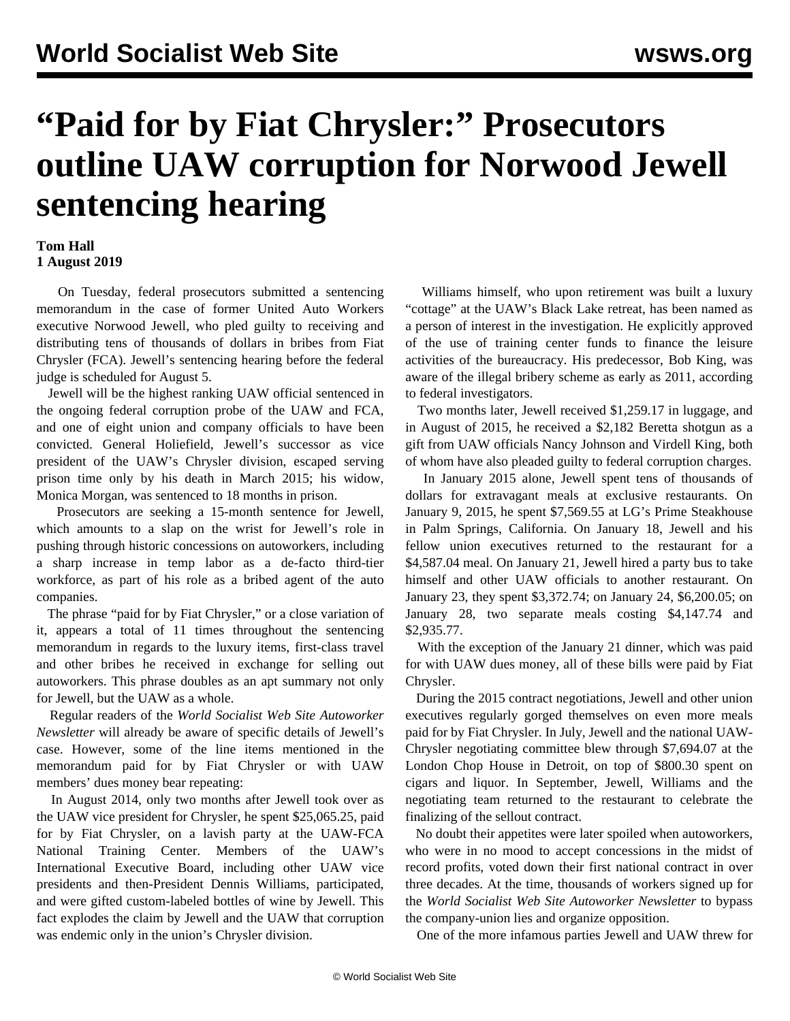## **"Paid for by Fiat Chrysler:" Prosecutors outline UAW corruption for Norwood Jewell sentencing hearing**

## **Tom Hall 1 August 2019**

 On Tuesday, federal prosecutors submitted a sentencing memorandum in the case of former United Auto Workers executive Norwood Jewell, who pled guilty to receiving and distributing tens of thousands of dollars in bribes from Fiat Chrysler (FCA). Jewell's sentencing hearing before the federal judge is scheduled for August 5.

 Jewell will be the highest ranking UAW official sentenced in the ongoing federal corruption probe of the UAW and FCA, and one of eight union and company officials to have been convicted. General Holiefield, Jewell's successor as vice president of the UAW's Chrysler division, escaped serving prison time only by his death in March 2015; his widow, Monica Morgan, was sentenced to 18 months in prison.

 Prosecutors are seeking a 15-month sentence for Jewell, which amounts to a slap on the wrist for Jewell's role in pushing through historic concessions on autoworkers, including a sharp increase in temp labor as a de-facto third-tier workforce, as part of his role as a bribed agent of the auto companies.

 The phrase "paid for by Fiat Chrysler," or a close variation of it, appears a total of 11 times throughout the sentencing memorandum in regards to the luxury items, first-class travel and other bribes he received in exchange for selling out autoworkers. This phrase doubles as an apt summary not only for Jewell, but the UAW as a whole.

 Regular readers of the *World Socialist Web Site Autoworker Newsletter* will already be aware of specific details of Jewell's case. However, some of the line items mentioned in the memorandum paid for by Fiat Chrysler or with UAW members' dues money bear repeating:

 In August 2014, only two months after Jewell took over as the UAW vice president for Chrysler, he spent \$25,065.25, paid for by Fiat Chrysler, on a lavish party at the UAW-FCA National Training Center. Members of the UAW's International Executive Board, including other UAW vice presidents and then-President Dennis Williams, participated, and were gifted custom-labeled bottles of wine by Jewell. This fact explodes the claim by Jewell and the UAW that corruption was endemic only in the union's Chrysler division.

 Williams himself, who upon retirement was built a luxury "cottage" at the UAW's Black Lake retreat, has been named as a person of interest in the investigation. He explicitly approved of the use of training center funds to finance the leisure activities of the bureaucracy. His predecessor, Bob King, was aware of the illegal bribery scheme as early as 2011, according to federal investigators.

 Two months later, Jewell received \$1,259.17 in luggage, and in August of 2015, he received a \$2,182 Beretta shotgun as a gift from UAW officials Nancy Johnson and Virdell King, both of whom have also pleaded guilty to federal corruption charges.

 In January 2015 alone, Jewell spent tens of thousands of dollars for extravagant meals at exclusive restaurants. On January 9, 2015, he spent \$7,569.55 at LG's Prime Steakhouse in Palm Springs, California. On January 18, Jewell and his fellow union executives returned to the restaurant for a \$4,587.04 meal. On January 21, Jewell hired a party bus to take himself and other UAW officials to another restaurant. On January 23, they spent \$3,372.74; on January 24, \$6,200.05; on January 28, two separate meals costing \$4,147.74 and \$2,935.77.

 With the exception of the January 21 dinner, which was paid for with UAW dues money, all of these bills were paid by Fiat Chrysler.

 During the 2015 contract negotiations, Jewell and other union executives regularly gorged themselves on even more meals paid for by Fiat Chrysler. In July, Jewell and the national UAW-Chrysler negotiating committee blew through \$7,694.07 at the London Chop House in Detroit, on top of \$800.30 spent on cigars and liquor. In September, Jewell, Williams and the negotiating team returned to the restaurant to celebrate the finalizing of the sellout contract.

 No doubt their appetites were later spoiled when autoworkers, who were in no mood to accept concessions in the midst of record profits, voted down their first national contract in over three decades. At the time, thousands of workers signed up for the *World Socialist Web Site Autoworker Newsletter* to bypass the company-union lies and organize opposition.

One of the more infamous parties Jewell and UAW threw for